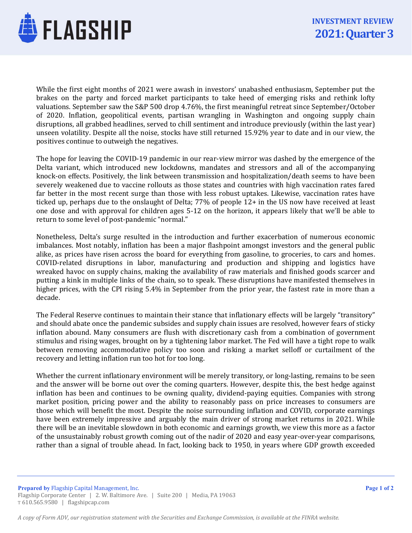

While the first eight months of 2021 were awash in investors' unabashed enthusiasm, September put the brakes on the party and forced market participants to take heed of emerging risks and rethink lofty valuations. September saw the S&P 500 drop 4.76%, the first meaningful retreat since September/October of 2020. Inflation, geopolitical events, partisan wrangling in Washington and ongoing supply chain disruptions, all grabbed headlines, served to chill sentiment and introduce previously (within the last year) unseen volatility. Despite all the noise, stocks have still returned 15.92% year to date and in our view, the positives continue to outweigh the negatives.

The hope for leaving the COVID-19 pandemic in our rear-view mirror was dashed by the emergence of the Delta variant, which introduced new lockdowns, mandates and stressors and all of the accompanying knock-on effects. Positively, the link between transmission and hospitalization/death seems to have been severely weakened due to vaccine rollouts as those states and countries with high vaccination rates fared far better in the most recent surge than those with less robust uptakes. Likewise, vaccination rates have ticked up, perhaps due to the onslaught of Delta; 77% of people 12+ in the US now have received at least one dose and with approval for children ages 5-12 on the horizon, it appears likely that we'll be able to return to some level of post-pandemic "normal."

Nonetheless, Delta's surge resulted in the introduction and further exacerbation of numerous economic imbalances. Most notably, inflation has been a major flashpoint amongst investors and the general public alike, as prices have risen across the board for everything from gasoline, to groceries, to cars and homes. COVID-related disruptions in labor, manufacturing and production and shipping and logistics have wreaked havoc on supply chains, making the availability of raw materials and finished goods scarcer and putting a kink in multiple links of the chain, so to speak. These disruptions have manifested themselves in higher prices, with the CPI rising 5.4% in September from the prior year, the fastest rate in more than a decade.

The Federal Reserve continues to maintain their stance that inflationary effects will be largely "transitory" and should abate once the pandemic subsides and supply chain issues are resolved, however fears of sticky inflation abound. Many consumers are flush with discretionary cash from a combination of government stimulus and rising wages, brought on by a tightening labor market. The Fed will have a tight rope to walk between removing accommodative policy too soon and risking a market selloff or curtailment of the recovery and letting inflation run too hot for too long.

Whether the current inflationary environment will be merely transitory, or long-lasting, remains to be seen and the answer will be borne out over the coming quarters. However, despite this, the best hedge against inflation has been and continues to be owning quality, dividend-paying equities. Companies with strong market position, pricing power and the ability to reasonably pass on price increases to consumers are those which will benefit the most. Despite the noise surrounding inflation and COVID, corporate earnings have been extremely impressive and arguably the main driver of strong market returns in 2021. While there will be an inevitable slowdown in both economic and earnings growth, we view this more as a factor of the unsustainably robust growth coming out of the nadir of 2020 and easy year-over-year comparisons, rather than a signal of trouble ahead. In fact, looking back to 1950, in years where GDP growth exceeded

Prepared by Flagship Capital Management, Inc. Flagship Corporate Center | 2. W. Baltimore Ave. | Suite 200 | Media, PA 19063 T 610.565.9580 | flagshipcap.com